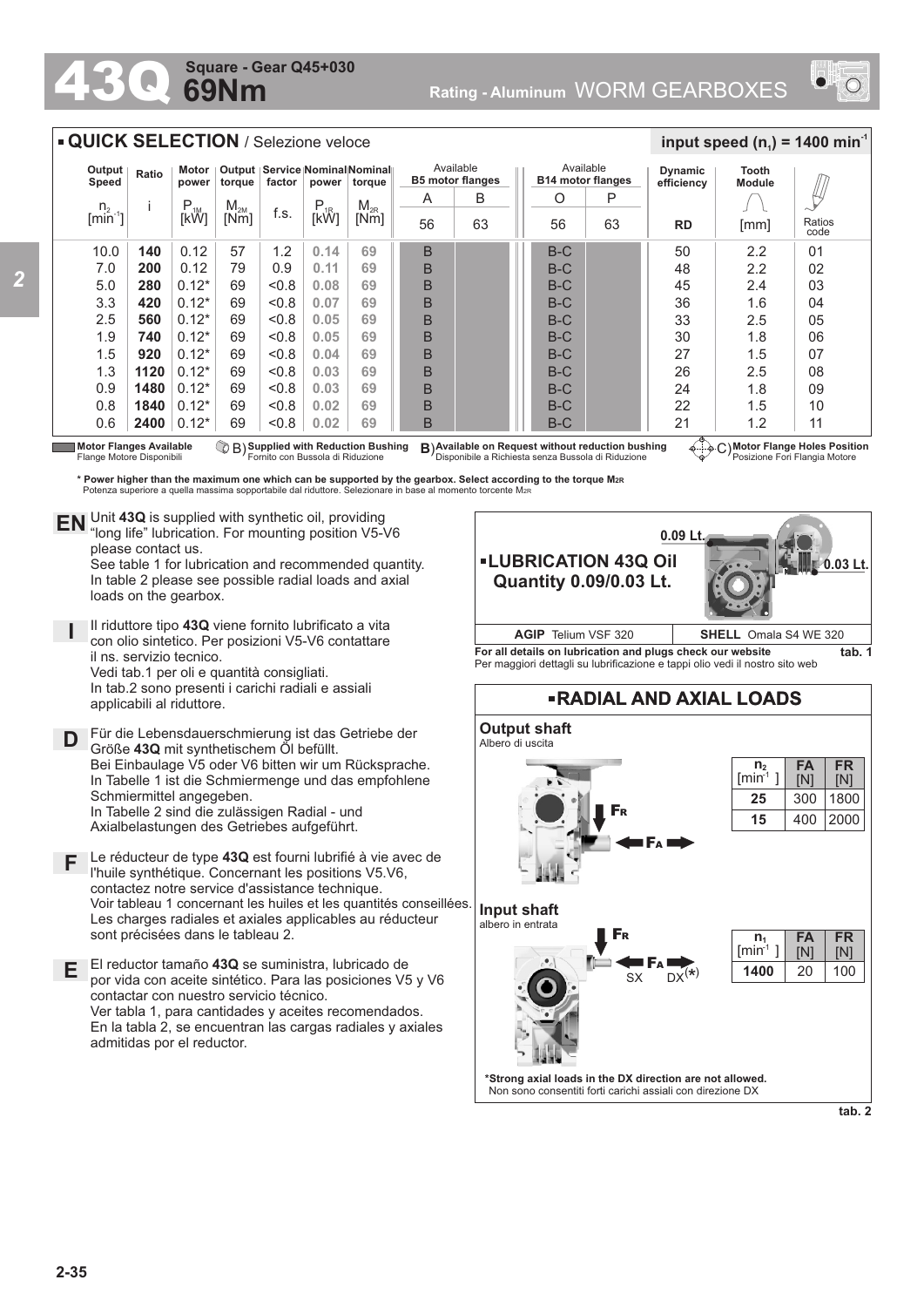## **69Nm Square - Gear Q45+030**



| <b>QUICK SELECTION</b> / Selezione veloce |       |                        |                                                                               |       |                        |                                      |    |    |                                       |       |                              | input speed ( $n_1$ ) = 1400 min <sup>-1</sup> |      |                |
|-------------------------------------------|-------|------------------------|-------------------------------------------------------------------------------|-------|------------------------|--------------------------------------|----|----|---------------------------------------|-------|------------------------------|------------------------------------------------|------|----------------|
| Output<br>Speed                           | Ratio | Motor<br>power         | Output   Service   Nominal   Nominal  <br>factor<br>torque<br>power<br>torque |       |                        | Available<br><b>B5 motor flanges</b> |    |    | Available<br><b>B14 motor flanges</b> |       | <b>Dynamic</b><br>efficiencv | <b>Tooth</b><br><b>Module</b>                  |      |                |
| $n_{2}$                                   |       | $P_{1M}$ <sub>IM</sub> | M <sub>2M</sub>                                                               |       | $P_{1R}$ <sub>1R</sub> | $M_{2R}$                             | A  | B  |                                       | O     | P                            |                                                |      |                |
| $\left[\text{min}^2\right]$               |       |                        | [Nm]                                                                          | f.s.  |                        | [Nm]                                 | 56 | 63 |                                       | 56    | 63                           | <b>RD</b>                                      | [mm] | Ratios<br>code |
| 10.0                                      | 140   | 0.12                   | 57                                                                            | 1.2   | 0.14                   | 69                                   | B  |    |                                       | $B-C$ |                              | 50                                             | 2.2  | 01             |
| 7.0                                       | 200   | 0.12                   | 79                                                                            | 0.9   | 0.11                   | 69                                   | B  |    |                                       | $B-C$ |                              | 48                                             | 2.2  | 02             |
| 5.0                                       | 280   | $0.12*$                | 69                                                                            | < 0.8 | 0.08                   | 69                                   | B  |    |                                       | $B-C$ |                              | 45                                             | 2.4  | 03             |
| 3.3                                       | 420   | $0.12*$                | 69                                                                            | &0.8  | 0.07                   | 69                                   | B  |    |                                       | $B-C$ |                              | 36                                             | 1.6  | 04             |
| 2.5                                       | 560   | $0.12*$                | 69                                                                            | &0.8  | 0.05                   | 69                                   | B  |    |                                       | $B-C$ |                              | 33                                             | 2.5  | 05             |
| 1.9                                       | 740   | $0.12*$                | 69                                                                            | &0.8  | 0.05                   | 69                                   | B  |    |                                       | $B-C$ |                              | 30                                             | 1.8  | 06             |
| 1.5                                       | 920   | $0.12*$                | 69                                                                            | &0.8  | 0.04                   | 69                                   | B  |    |                                       | $B-C$ |                              | 27                                             | 1.5  | 07             |
| 1.3                                       | 1120  | $0.12*$                | 69                                                                            | &0.8  | 0.03                   | 69                                   | B  |    |                                       | $B-C$ |                              | 26                                             | 2.5  | 08             |
| 0.9                                       | 1480  | $0.12*$                | 69                                                                            | < 0.8 | 0.03                   | 69                                   | B  |    |                                       | $B-C$ |                              | 24                                             | 1.8  | 09             |
| 0.8                                       | 1840  | $0.12*$                | 69                                                                            | &0.8  | 0.02                   | 69                                   | B  |    |                                       | $B-C$ |                              | 22                                             | 1.5  | 10             |
| 0.6                                       | 2400  | $0.12*$                | 69                                                                            | &0.8  | 0.02                   | 69                                   | B  |    |                                       | $B-C$ |                              | 21<br>$\overline{\mathcal{A}}$                 | 1.2  | 11             |

Motor Flanges Available<br>Flange Motore Disponibili

**Available on Request without reduction bushing** Disponibile a Richiesta senza Bussola di Riduzione **Motor Flanges** C) **Available Supplied with Reduction Bushing** Fornito con Bussola di Riduzione B) **B**)

**Motor Flange Holes Position** Posizione Fori Flangia Motore

**\* Power higher than the maximum one which can be supported by the gearbox. Select according to the torque M2R** Potenza superiore a quella massima sopportabile dal riduttore. Selezionare in base al momento torcente M<sub>2</sub>

Unit **43Q** is supplied with synthetic oil, providing **EN** Unit 43Q is supplied with synthetic oil, providing<br>"long life" lubrication. For mounting position V5-V6 please contact us.

See table 1 for lubrication and recommended quantity. In table 2 please see possible radial loads and axial loads on the gearbox.

**I** Il riduttore tipo **43Q** viene fornito lubrificato a vita con olio sintetico. Per posizioni V5-V6 contattare il ns. servizio tecnico. Vedi tab.1 per oli e quantità consigliati. In tab.2 sono presenti i carichi radiali e assiali applicabili al riduttore.

**D** Für die Lebensdauerschmierung ist das Getriebe der<br>
Größe 430 mit synthetischem Öl befüllt Größe **43Q** mit synthetischem Öl befüllt. Bei Einbaulage V5 oder V6 bitten wir um Rücksprache. In Tabelle 1 ist die Schmiermenge und das empfohlene Schmiermittel angegeben. In Tabelle 2 sind die zulässigen Radial - und Axialbelastungen des Getriebes aufgeführt.

- **F** Le réducteur de type **43Q** est fourni lubrifié à vie avec de l'huile synthétique. Concernant les positions V5.V6, contactez notre service d'assistance technique. Voir tableau 1 concernant les huiles et les quantités conseillées. Les charges radiales et axiales applicables au réducteur sont précisées dans le tableau 2.
- **E** El reductor tamaño **43Q** se suministra, lubricado de por vida con aceite sintético. Para las posiciones V5 y V6 contactar con nuestro servicio técnico. Ver tabla 1, para cantidades y aceites recomendados. En la tabla 2, se encuentran las cargas radiales y axiales admitidas por el reductor.





**tab. 2**